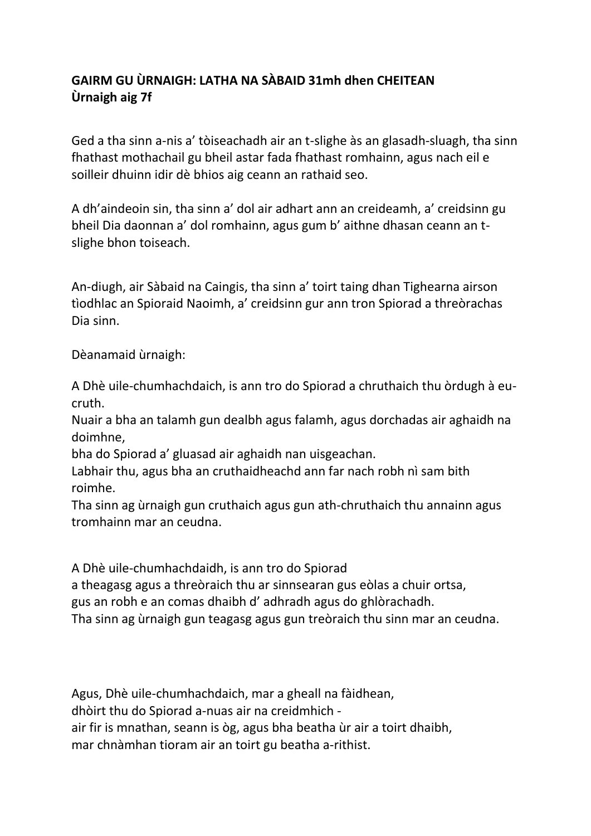## **GAIRM GU ÙRNAIGH: LATHA NA SÀBAID 31mh dhen CHEITEAN Ùrnaigh aig 7f**

Ged a tha sinn a-nis a' tòiseachadh air an t-slighe às an glasadh-sluagh, tha sinn fhathast mothachail gu bheil astar fada fhathast romhainn, agus nach eil e soilleir dhuinn idir dè bhios aig ceann an rathaid seo.

A dh'aindeoin sin, tha sinn a' dol air adhart ann an creideamh, a' creidsinn gu bheil Dia daonnan a' dol romhainn, agus gum b' aithne dhasan ceann an tslighe bhon toiseach.

An-diugh, air Sàbaid na Caingis, tha sinn a' toirt taing dhan Tighearna airson tìodhlac an Spioraid Naoimh, a' creidsinn gur ann tron Spiorad a threòrachas Dia sinn.

Dèanamaid ùrnaigh:

A Dhè uile-chumhachdaich, is ann tro do Spiorad a chruthaich thu òrdugh à eucruth.

Nuair a bha an talamh gun dealbh agus falamh, agus dorchadas air aghaidh na doimhne,

bha do Spiorad a' gluasad air aghaidh nan uisgeachan.

Labhair thu, agus bha an cruthaidheachd ann far nach robh nì sam bith roimhe.

Tha sinn ag ùrnaigh gun cruthaich agus gun ath-chruthaich thu annainn agus tromhainn mar an ceudna.

A Dhè uile-chumhachdaidh, is ann tro do Spiorad

a theagasg agus a threòraich thu ar sinnsearan gus eòlas a chuir ortsa,

gus an robh e an comas dhaibh d' adhradh agus do ghlòrachadh.

Tha sinn ag ùrnaigh gun teagasg agus gun treòraich thu sinn mar an ceudna.

Agus, Dhè uile-chumhachdaich, mar a gheall na fàidhean, dhòirt thu do Spiorad a-nuas air na creidmhich air fir is mnathan, seann is òg, agus bha beatha ùr air a toirt dhaibh, mar chnàmhan tioram air an toirt gu beatha a-rithist.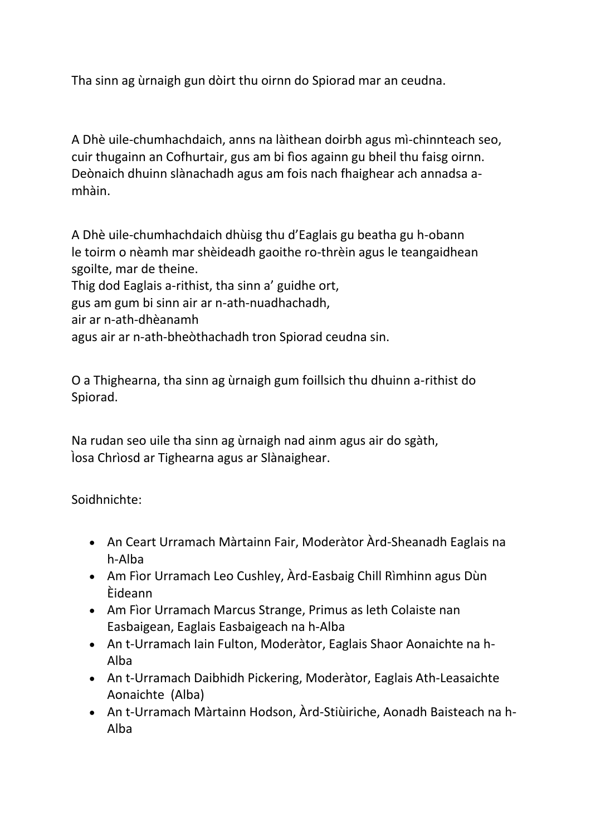Tha sinn ag ùrnaigh gun dòirt thu oirnn do Spiorad mar an ceudna.

A Dhè uile-chumhachdaich, anns na làithean doirbh agus mì-chinnteach seo, cuir thugainn an Cofhurtair, gus am bi fìos againn gu bheil thu faisg oirnn. Deònaich dhuinn slànachadh agus am fois nach fhaighear ach annadsa amhàin.

A Dhè uile-chumhachdaich dhùisg thu d'Eaglais gu beatha gu h-obann le toirm o nèamh mar shèideadh gaoithe ro-thrèin agus le teangaidhean sgoilte, mar de theine.

Thig dod Eaglais a-rithist, tha sinn a' guidhe ort,

gus am gum bi sinn air ar n-ath-nuadhachadh,

air ar n-ath-dhèanamh

agus air ar n-ath-bheòthachadh tron Spiorad ceudna sin.

O a Thighearna, tha sinn ag ùrnaigh gum foillsich thu dhuinn a-rithist do Spiorad.

Na rudan seo uile tha sinn ag ùrnaigh nad ainm agus air do sgàth, Ìosa Chrìosd ar Tighearna agus ar Slànaighear.

Soidhnichte:

- An Ceart Urramach Màrtainn Fair, Moderàtor Àrd-Sheanadh Eaglais na h-Alba
- Am Fìor Urramach Leo Cushley, Àrd-Easbaig Chill Rìmhinn agus Dùn Èideann
- Am Fìor Urramach Marcus Strange, Primus as leth Colaiste nan Easbaigean, Eaglais Easbaigeach na h-Alba
- An t-Urramach Iain Fulton, Moderàtor, Eaglais Shaor Aonaichte na h-Alba
- An t-Urramach Daibhidh Pickering, Moderàtor, Eaglais Ath-Leasaichte Aonaichte (Alba)
- An t-Urramach Màrtainn Hodson, Àrd-Stiùiriche, Aonadh Baisteach na h-Alba